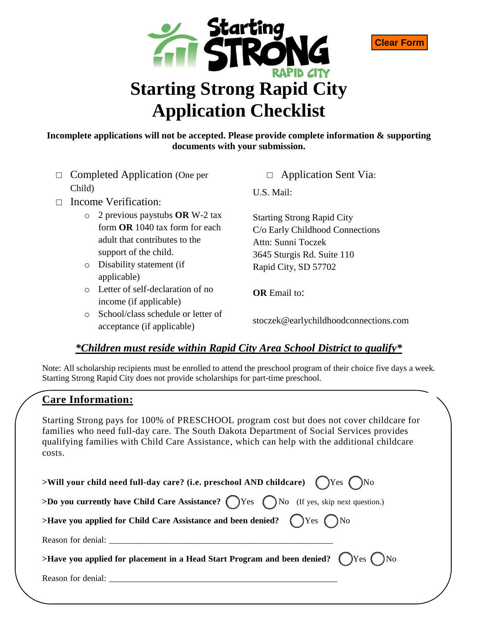



- □ Completed Application (One per Child)
- □ Income Verification:
	- o 2 previous paystubs **OR** W-2 tax form **OR** 1040 tax form for each adult that contributes to the support of the child.
	- o Disability statement (if applicable)
	- o Letter of self-declaration of no income (if applicable)
	- o School/class schedule or letter of acceptance (if applicable)

□ Application Sent Via:

**Clear Form**

U.S. Mail:

Starting Strong Rapid City C/o Early Childhood Connections Attn: Sunni Toczek 3645 Sturgis Rd. Suite 110 Rapid City, SD 57702

**OR** Email to:

stoczek@earlychildhoodconnections.com

## *\*Children must reside within Rapid City Area School District to qualify\**

Note: All scholarship recipients must be enrolled to attend the preschool program of their choice five days a week. Starting Strong Rapid City does not provide scholarships for part-time preschool.

## **Care Information:**

Starting Strong pays for 100% of PRESCHOOL program cost but does not cover childcare for families who need full-day care. The South Dakota Department of Social Services provides qualifying families with Child Care Assistance, which can help with the additional childcare costs.

| >Will your child need full-day care? (i.e. preschool AND childcare) $\bigcirc$ Yes $\bigcirc$ No       |
|--------------------------------------------------------------------------------------------------------|
| >Do you currently have Child Care Assistance? $\bigcap$ Yes $\bigcap$ No (If yes, skip next question.) |
| >Have you applied for Child Care Assistance and been denied?<br><br>QYes QNo                           |
|                                                                                                        |
| >Have you applied for placement in a Head Start Program and been denied? (Ves ONo                      |
|                                                                                                        |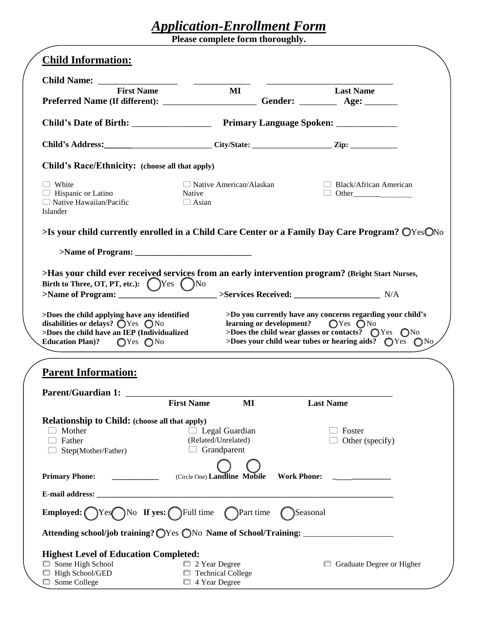# *Application-Enrollment Form*

**Please complete form thoroughly.**

| <b>Child Information:</b>                                                                                                                                                                                                                                                     |                                                             |                    |                                                                                                                                                                                                                                                            |  |
|-------------------------------------------------------------------------------------------------------------------------------------------------------------------------------------------------------------------------------------------------------------------------------|-------------------------------------------------------------|--------------------|------------------------------------------------------------------------------------------------------------------------------------------------------------------------------------------------------------------------------------------------------------|--|
|                                                                                                                                                                                                                                                                               |                                                             |                    |                                                                                                                                                                                                                                                            |  |
| <b>First Name</b><br>Preferred Name (If different): ___________________________Gender: ______________ Age: _____________                                                                                                                                                      | $\bf{M}$                                                    |                    | <b>Last Name</b>                                                                                                                                                                                                                                           |  |
|                                                                                                                                                                                                                                                                               |                                                             |                    |                                                                                                                                                                                                                                                            |  |
| Child's Address: City/State: City/State: Zip: Zip:                                                                                                                                                                                                                            |                                                             |                    |                                                                                                                                                                                                                                                            |  |
| Child's Race/Ethnicity: (choose all that apply)                                                                                                                                                                                                                               |                                                             |                    |                                                                                                                                                                                                                                                            |  |
| $\Box$ White<br>$\Box$ Hispanic or Latino<br>$\Box$ Native Hawaiian/Pacific<br>Islander                                                                                                                                                                                       | $\Box$ Native American/Alaskan<br>Native<br>$\Box$ Asian    |                    | $\Box$ Black/African American                                                                                                                                                                                                                              |  |
| $>$ Is your child currently enrolled in a Child Care Center or a Family Day Care Program? OYesONo                                                                                                                                                                             |                                                             |                    |                                                                                                                                                                                                                                                            |  |
|                                                                                                                                                                                                                                                                               |                                                             |                    |                                                                                                                                                                                                                                                            |  |
| >Has your child ever received services from an early intervention program? (Bright Start Nurses,<br>Birth to Three, OT, PT, etc.): ( )Yes ( )No                                                                                                                               |                                                             |                    |                                                                                                                                                                                                                                                            |  |
|                                                                                                                                                                                                                                                                               |                                                             |                    |                                                                                                                                                                                                                                                            |  |
|                                                                                                                                                                                                                                                                               |                                                             |                    | >Do you currently have any concerns regarding your child's<br>learning or development? $\bigcirc$ Yes $\bigcirc$ No<br>>Does the child wear glasses or contacts? $QYes$ $QNo$<br>>Does your child wear tubes or hearing aids? $\bigcirc$ Yes $\bigcirc$ No |  |
| >Does the child applying have any identified<br>disabilities or delays? $\bigcirc$ Yes $\bigcirc$ No<br>>Does the child have an IEP (Individualized<br>Education Plan)? $QYes \tQNo$<br><b>Parent Information:</b>                                                            |                                                             |                    |                                                                                                                                                                                                                                                            |  |
| <b>Parent/Guardian 1:</b>                                                                                                                                                                                                                                                     |                                                             |                    |                                                                                                                                                                                                                                                            |  |
|                                                                                                                                                                                                                                                                               | <b>First Name</b><br>MI                                     |                    | <b>Last Name</b>                                                                                                                                                                                                                                           |  |
| Mother<br>Father<br>Step(Mother/Father)                                                                                                                                                                                                                                       | $\Box$ Legal Guardian<br>(Related/Unrelated)<br>Grandparent |                    | Foster<br>Other (specify)                                                                                                                                                                                                                                  |  |
|                                                                                                                                                                                                                                                                               | (Circle One) Landline Mobile                                | <b>Work Phone:</b> |                                                                                                                                                                                                                                                            |  |
|                                                                                                                                                                                                                                                                               |                                                             |                    |                                                                                                                                                                                                                                                            |  |
|                                                                                                                                                                                                                                                                               |                                                             | Seasonal           |                                                                                                                                                                                                                                                            |  |
| <b>Relationship to Child: (choose all that apply)</b><br><b>Primary Phone:</b><br><b>Employed:</b> $\bigcirc$ Yes $\bigcirc$ No <b>If yes:</b> $\bigcirc$ Full time $\bigcirc$ Part time<br>Attending school/job training? OYes ONo Name of School/Training: ________________ |                                                             |                    |                                                                                                                                                                                                                                                            |  |
| <b>Highest Level of Education Completed:</b><br>Some High School                                                                                                                                                                                                              | $\Box$ 2 Year Degree                                        |                    | <b>Solution</b> Graduate Degree or Higher                                                                                                                                                                                                                  |  |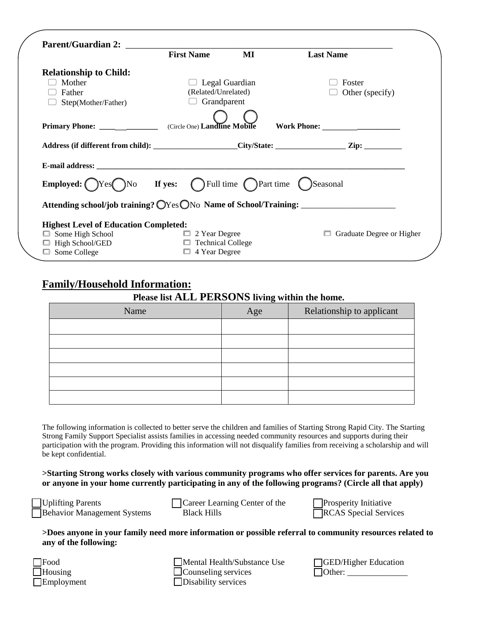|                                                                                                                       | <b>First Name</b>    | $\bf MI$       | <b>Last Name</b>                                                                                     |
|-----------------------------------------------------------------------------------------------------------------------|----------------------|----------------|------------------------------------------------------------------------------------------------------|
| <b>Relationship to Child:</b>                                                                                         |                      |                |                                                                                                      |
| Mother                                                                                                                |                      | Legal Guardian | Foster                                                                                               |
| Father                                                                                                                | (Related/Unrelated)  |                | Other (specify)                                                                                      |
| Step(Mother/Father)                                                                                                   | Grandparent          |                |                                                                                                      |
|                                                                                                                       |                      |                |                                                                                                      |
|                                                                                                                       |                      |                |                                                                                                      |
|                                                                                                                       |                      |                | Address (if different from child): _____________________City/State: _______________Zip: ____________ |
|                                                                                                                       |                      |                |                                                                                                      |
| <b>Employed:</b> $\bigcap$ Yes $\bigcap$ No <b>If yes:</b> $\bigcap$ Full time $\bigcap$ Part time $\bigcap$ Seasonal |                      |                |                                                                                                      |
|                                                                                                                       |                      |                | Attending school/job training? OYes ONo Name of School/Training: ________________                    |
| <b>Highest Level of Education Completed:</b>                                                                          |                      |                |                                                                                                      |
| $\Box$ Some High School                                                                                               | $\Box$ 2 Year Degree |                | Graduate Degree or Higher<br>$\Box$                                                                  |
| □ High School/GED                                                                                                     | Technical College    |                |                                                                                                      |
| $\Box$ Some College                                                                                                   | $\Box$ 4 Year Degree |                |                                                                                                      |

# **Family/Household Information:**

#### **Please list ALL PERSONS living within the home.**

| Name | Age | Relationship to applicant |
|------|-----|---------------------------|
|      |     |                           |
|      |     |                           |
|      |     |                           |
|      |     |                           |
|      |     |                           |
|      |     |                           |

The following information is collected to better serve the children and families of Starting Strong Rapid City. The Starting Strong Family Support Specialist assists families in accessing needed community resources and supports during their participation with the program. Providing this information will not disqualify families from receiving a scholarship and will be kept confidential.

**>Starting Strong works closely with various community programs who offer services for parents. Are you or anyone in your home currently participating in any of the following programs? (Circle all that apply)**

Uplifting Parents Behavior Management Systems Career Learning Center of the Black Hills

Prosperity Initiative RCAS Special Services

**>Does anyone in your family need more information or possible referral to community resources related to any of the following:**

| $\square$ Food    |
|-------------------|
| $\Box$ Housing    |
| $\Box$ Employment |

Mental Health/Substance Use Counseling services Disability services

| <b>SED/Higher Education</b> |  |
|-----------------------------|--|
| $\Box$ Other:               |  |